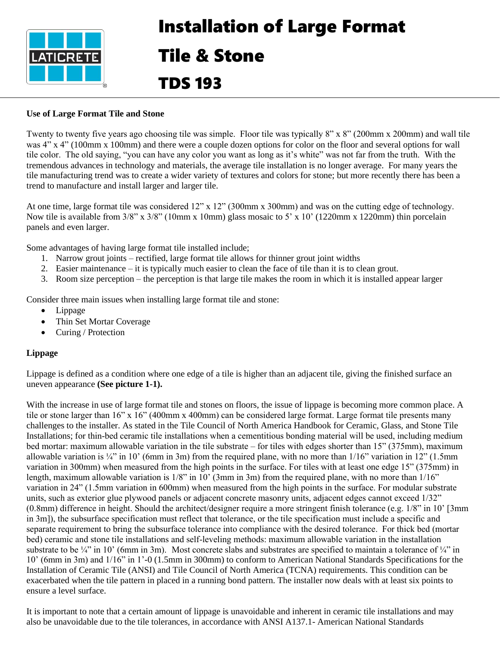

# Installation of Large Format Tile & Stone

## TDS 193

#### **Use of Large Format Tile and Stone**

Twenty to twenty five years ago choosing tile was simple. Floor tile was typically 8" x 8" (200mm x 200mm) and wall tile was 4" x 4" (100mm x 100mm) and there were a couple dozen options for color on the floor and several options for wall tile color. The old saying, "you can have any color you want as long as it's white" was not far from the truth. With the tremendous advances in technology and materials, the average tile installation is no longer average. For many years the tile manufacturing trend was to create a wider variety of textures and colors for stone; but more recently there has been a trend to manufacture and install larger and larger tile.

At one time, large format tile was considered 12" x 12" (300mm x 300mm) and was on the cutting edge of technology. Now tile is available from  $3/8$ " x  $3/8$ " (10mm x 10mm) glass mosaic to 5' x 10' (1220mm x 1220mm) thin porcelain panels and even larger.

Some advantages of having large format tile installed include;

- 1. Narrow grout joints rectified, large format tile allows for thinner grout joint widths
- 2. Easier maintenance it is typically much easier to clean the face of tile than it is to clean grout.
- 3. Room size perception the perception is that large tile makes the room in which it is installed appear larger

Consider three main issues when installing large format tile and stone:

- Lippage
- Thin Set Mortar Coverage
- Curing / Protection

#### **Lippage**

Lippage is defined as a condition where one edge of a tile is higher than an adjacent tile, giving the finished surface an uneven appearance **(See picture 1-1).**

With the increase in use of large format tile and stones on floors, the issue of lippage is becoming more common place. A tile or stone larger than 16" x 16" (400mm x 400mm) can be considered large format. Large format tile presents many challenges to the installer. As stated in the Tile Council of North America Handbook for Ceramic, Glass, and Stone Tile Installations; for thin-bed ceramic tile installations when a cementitious bonding material will be used, including medium bed mortar: maximum allowable variation in the tile substrate – for tiles with edges shorter than 15" (375mm), maximum allowable variation is  $\frac{1}{4}$  in 10' (6mm in 3m) from the required plane, with no more than  $1/16$ " variation in 12" (1.5mm) variation in 300mm) when measured from the high points in the surface. For tiles with at least one edge 15" (375mm) in length, maximum allowable variation is 1/8" in 10' (3mm in 3m) from the required plane, with no more than 1/16" variation in 24" (1.5mm variation in 600mm) when measured from the high points in the surface. For modular substrate units, such as exterior glue plywood panels or adjacent concrete masonry units, adjacent edges cannot exceed 1/32" (0.8mm) difference in height. Should the architect/designer require a more stringent finish tolerance (e.g. 1/8" in 10' [3mm in 3m]), the subsurface specification must reflect that tolerance, or the tile specification must include a specific and separate requirement to bring the subsurface tolerance into compliance with the desired tolerance. For thick bed (mortar bed) ceramic and stone tile installations and self-leveling methods: maximum allowable variation in the installation substrate to be  $\frac{1}{4}$  in 10' (6mm in 3m). Most concrete slabs and substrates are specified to maintain a tolerance of  $\frac{1}{4}$  in 10' (6mm in 3m) and 1/16" in 1'-0 (1.5mm in 300mm) to conform to American National Standards Specifications for the Installation of Ceramic Tile (ANSI) and Tile Council of North America (TCNA) requirements. This condition can be exacerbated when the tile pattern in placed in a running bond pattern. The installer now deals with at least six points to ensure a level surface.

It is important to note that a certain amount of lippage is unavoidable and inherent in ceramic tile installations and may also be unavoidable due to the tile tolerances, in accordance with ANSI A137.1- American National Standards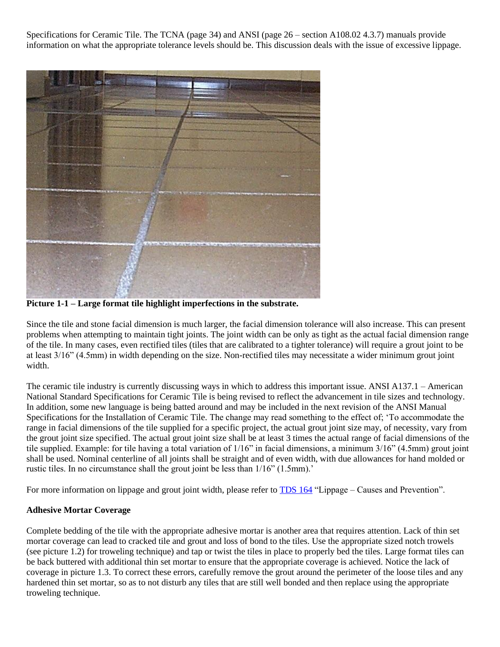Specifications for Ceramic Tile. The TCNA (page 34) and ANSI (page 26 – section A108.02 4.3.7) manuals provide information on what the appropriate tolerance levels should be. This discussion deals with the issue of excessive lippage.



**Picture 1-1 – Large format tile highlight imperfections in the substrate.** 

Since the tile and stone facial dimension is much larger, the facial dimension tolerance will also increase. This can present problems when attempting to maintain tight joints. The joint width can be only as tight as the actual facial dimension range of the tile. In many cases, even rectified tiles (tiles that are calibrated to a tighter tolerance) will require a grout joint to be at least 3/16" (4.5mm) in width depending on the size. Non-rectified tiles may necessitate a wider minimum grout joint width.

The ceramic tile industry is currently discussing ways in which to address this important issue. ANSI A137.1 – American National Standard Specifications for Ceramic Tile is being revised to reflect the advancement in tile sizes and technology. In addition, some new language is being batted around and may be included in the next revision of the ANSI Manual Specifications for the Installation of Ceramic Tile. The change may read something to the effect of; 'To accommodate the range in facial dimensions of the tile supplied for a specific project, the actual grout joint size may, of necessity, vary from the grout joint size specified. The actual grout joint size shall be at least 3 times the actual range of facial dimensions of the tile supplied. Example: for tile having a total variation of 1/16" in facial dimensions, a minimum 3/16" (4.5mm) grout joint shall be used. Nominal centerline of all joints shall be straight and of even width, with due allowances for hand molded or rustic tiles. In no circumstance shall the grout joint be less than 1/16" (1.5mm).'

For more information on lippage and grout joint width, please refer to **TDS 164** "Lippage – Causes and Prevention".

#### **Adhesive Mortar Coverage**

Complete bedding of the tile with the appropriate adhesive mortar is another area that requires attention. Lack of thin set mortar coverage can lead to cracked tile and grout and loss of bond to the tiles. Use the appropriate sized notch trowels (see picture 1.2) for troweling technique) and tap or twist the tiles in place to properly bed the tiles. Large format tiles can be back buttered with additional thin set mortar to ensure that the appropriate coverage is achieved. Notice the lack of coverage in picture 1.3. To correct these errors, carefully remove the grout around the perimeter of the loose tiles and any hardened thin set mortar, so as to not disturb any tiles that are still well bonded and then replace using the appropriate troweling technique.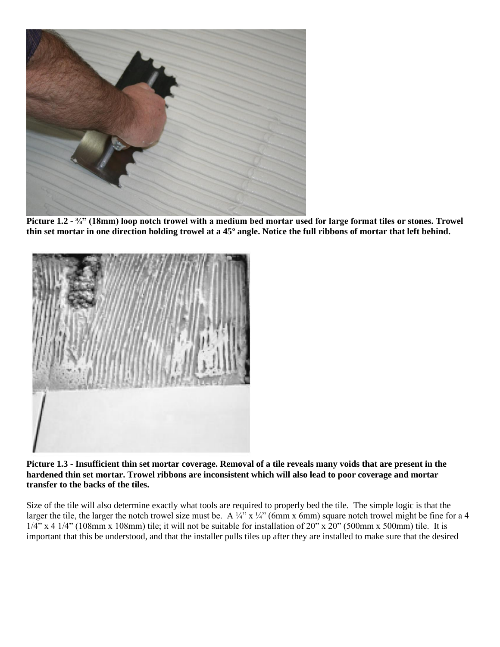

**Picture 1.2 - ¾" (18mm) loop notch trowel with a medium bed mortar used for large format tiles or stones. Trowel thin set mortar in one direction holding trowel at a 45º angle. Notice the full ribbons of mortar that left behind.** 



**Picture 1.3 - Insufficient thin set mortar coverage. Removal of a tile reveals many voids that are present in the hardened thin set mortar. Trowel ribbons are inconsistent which will also lead to poor coverage and mortar transfer to the backs of the tiles.** 

Size of the tile will also determine exactly what tools are required to properly bed the tile. The simple logic is that the larger the tile, the larger the notch trowel size must be. A  $\frac{1}{4}$ " x  $\frac{1}{4}$ " (6mm x 6mm) square notch trowel might be fine for a 4  $1/4$ " x 4  $1/4$ " (108mm x 108mm) tile; it will not be suitable for installation of 20" x 20" (500mm x 500mm) tile. It is important that this be understood, and that the installer pulls tiles up after they are installed to make sure that the desired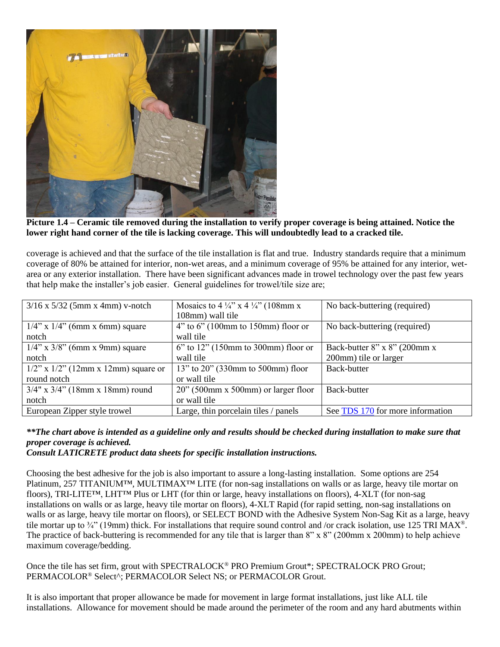

**Picture 1.4 – Ceramic tile removed during the installation to verify proper coverage is being attained. Notice the lower right hand corner of the tile is lacking coverage. This will undoubtedly lead to a cracked tile.** 

coverage is achieved and that the surface of the tile installation is flat and true. Industry standards require that a minimum coverage of 80% be attained for interior, non-wet areas, and a minimum coverage of 95% be attained for any interior, wetarea or any exterior installation. There have been significant advances made in trowel technology over the past few years that help make the installer's job easier. General guidelines for trowel/tile size are;

| $3/16$ x $5/32$ (5mm x 4mm) v-notch       | Mosaics to 4 $\frac{1}{4}$ " x 4 $\frac{1}{4}$ " (108mm x | No back-buttering (required)     |
|-------------------------------------------|-----------------------------------------------------------|----------------------------------|
|                                           | 108mm) wall tile                                          |                                  |
| $1/4$ " x $1/4$ " (6mm x 6mm) square      | $4"$ to 6" (100mm to 150mm) floor or                      | No back-buttering (required)     |
| notch                                     | wall tile                                                 |                                  |
| $1/4$ " x $3/8$ " (6mm x 9mm) square      | $6"$ to 12" (150mm to 300mm) floor or                     | Back-butter 8" x 8" (200mm x     |
| notch                                     | wall tile                                                 | 200mm) tile or larger            |
| $1/2$ " x $1/2$ " (12mm x 12mm) square or | $13"$ to $20"$ (330mm to 500mm) floor                     | <b>Back-butter</b>               |
| round notch                               | or wall tile                                              |                                  |
| $3/4$ " x $3/4$ " (18mm x 18mm) round     | $20$ " (500mm x 500mm) or larger floor                    | Back-butter                      |
| notch                                     | or wall tile                                              |                                  |
| European Zipper style trowel              | Large, thin porcelain tiles / panels                      | See TDS 170 for more information |

### *\*\*The chart above is intended as a guideline only and results should be checked during installation to make sure that proper coverage is achieved.*

*Consult LATICRETE product data sheets for specific installation instructions.*

Choosing the best adhesive for the job is also important to assure a long-lasting installation. Some options are 254 Platinum, 257 TITANIUM™, MULTIMAX™ LITE (for non-sag installations on walls or as large, heavy tile mortar on floors), TRI-LITE<sup>TM</sup>, LHT<sup>TM</sup> Plus or LHT (for thin or large, heavy installations on floors), 4-XLT (for non-sag installations on walls or as large, heavy tile mortar on floors), 4-XLT Rapid (for rapid setting, non-sag installations on walls or as large, heavy tile mortar on floors), or SELECT BOND with the Adhesive System Non-Sag Kit as a large, heavy tile mortar up to  $\frac{3}{4}$  (19mm) thick. For installations that require sound control and /or crack isolation, use 125 TRI MAX<sup>®</sup>. The practice of back-buttering is recommended for any tile that is larger than 8" x 8" (200mm x 200mm) to help achieve maximum coverage/bedding.

Once the tile has set firm, grout with SPECTRALOCK® PRO Premium Grout\*; SPECTRALOCK PRO Grout; PERMACOLOR® Select^; PERMACOLOR Select NS; or PERMACOLOR Grout.

It is also important that proper allowance be made for movement in large format installations, just like ALL tile installations. Allowance for movement should be made around the perimeter of the room and any hard abutments within